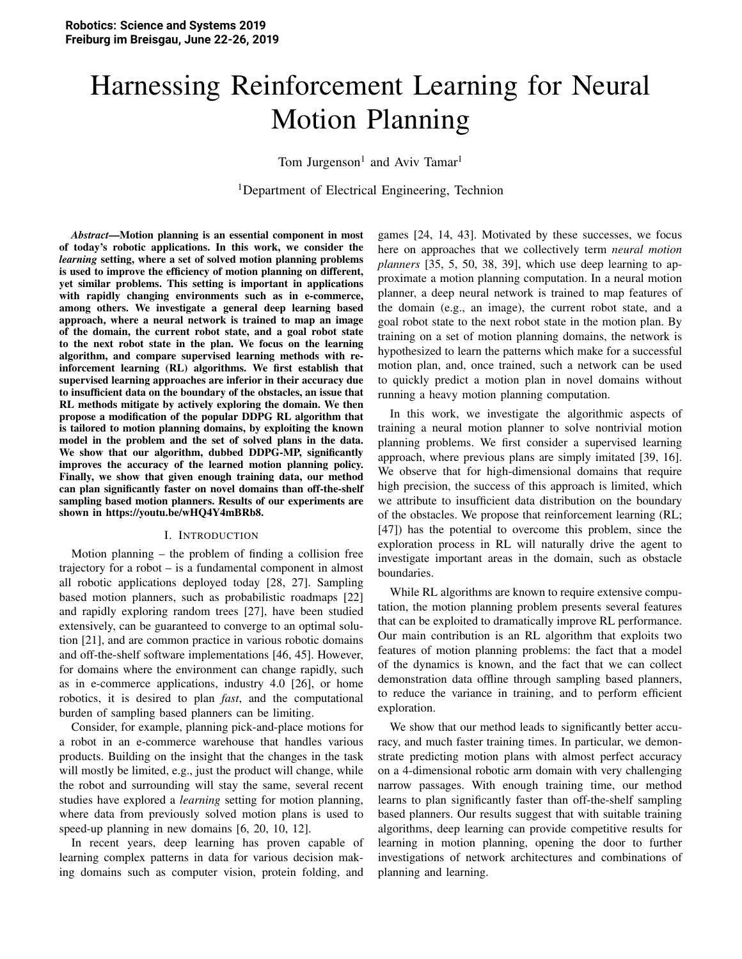# Harnessing Reinforcement Learning for Neural Motion Planning

Tom Jurgenson<sup>1</sup> and Aviv Tamar<sup>1</sup>

<sup>1</sup>Department of Electrical Engineering, Technion

*Abstract*—Motion planning is an essential component in most of today's robotic applications. In this work, we consider the *learning* setting, where a set of solved motion planning problems is used to improve the efficiency of motion planning on different, yet similar problems. This setting is important in applications with rapidly changing environments such as in e-commerce, among others. We investigate a general deep learning based approach, where a neural network is trained to map an image of the domain, the current robot state, and a goal robot state to the next robot state in the plan. We focus on the learning algorithm, and compare supervised learning methods with reinforcement learning (RL) algorithms. We first establish that supervised learning approaches are inferior in their accuracy due to insufficient data on the boundary of the obstacles, an issue that RL methods mitigate by actively exploring the domain. We then propose a modification of the popular DDPG RL algorithm that is tailored to motion planning domains, by exploiting the known model in the problem and the set of solved plans in the data. We show that our algorithm, dubbed DDPG-MP, significantly improves the accuracy of the learned motion planning policy. Finally, we show that given enough training data, our method can plan significantly faster on novel domains than off-the-shelf sampling based motion planners. Results of our experiments are shown in https://youtu.be/wHQ4Y4mBRb8.

#### I. INTRODUCTION

Motion planning – the problem of finding a collision free trajectory for a robot – is a fundamental component in almost all robotic applications deployed today [28, 27]. Sampling based motion planners, such as probabilistic roadmaps [22] and rapidly exploring random trees [27], have been studied extensively, can be guaranteed to converge to an optimal solution [21], and are common practice in various robotic domains and off-the-shelf software implementations [46, 45]. However, for domains where the environment can change rapidly, such as in e-commerce applications, industry 4.0 [26], or home robotics, it is desired to plan *fast*, and the computational burden of sampling based planners can be limiting.

Consider, for example, planning pick-and-place motions for a robot in an e-commerce warehouse that handles various products. Building on the insight that the changes in the task will mostly be limited, e.g., just the product will change, while the robot and surrounding will stay the same, several recent studies have explored a *learning* setting for motion planning, where data from previously solved motion plans is used to speed-up planning in new domains [6, 20, 10, 12].

In recent years, deep learning has proven capable of learning complex patterns in data for various decision making domains such as computer vision, protein folding, and

games [24, 14, 43]. Motivated by these successes, we focus here on approaches that we collectively term *neural motion planners* [35, 5, 50, 38, 39], which use deep learning to approximate a motion planning computation. In a neural motion planner, a deep neural network is trained to map features of the domain (e.g., an image), the current robot state, and a goal robot state to the next robot state in the motion plan. By training on a set of motion planning domains, the network is hypothesized to learn the patterns which make for a successful motion plan, and, once trained, such a network can be used to quickly predict a motion plan in novel domains without running a heavy motion planning computation.

In this work, we investigate the algorithmic aspects of training a neural motion planner to solve nontrivial motion planning problems. We first consider a supervised learning approach, where previous plans are simply imitated [39, 16]. We observe that for high-dimensional domains that require high precision, the success of this approach is limited, which we attribute to insufficient data distribution on the boundary of the obstacles. We propose that reinforcement learning (RL; [47]) has the potential to overcome this problem, since the exploration process in RL will naturally drive the agent to investigate important areas in the domain, such as obstacle boundaries.

While RL algorithms are known to require extensive computation, the motion planning problem presents several features that can be exploited to dramatically improve RL performance. Our main contribution is an RL algorithm that exploits two features of motion planning problems: the fact that a model of the dynamics is known, and the fact that we can collect demonstration data offline through sampling based planners, to reduce the variance in training, and to perform efficient exploration.

We show that our method leads to significantly better accuracy, and much faster training times. In particular, we demonstrate predicting motion plans with almost perfect accuracy on a 4-dimensional robotic arm domain with very challenging narrow passages. With enough training time, our method learns to plan significantly faster than off-the-shelf sampling based planners. Our results suggest that with suitable training algorithms, deep learning can provide competitive results for learning in motion planning, opening the door to further investigations of network architectures and combinations of planning and learning.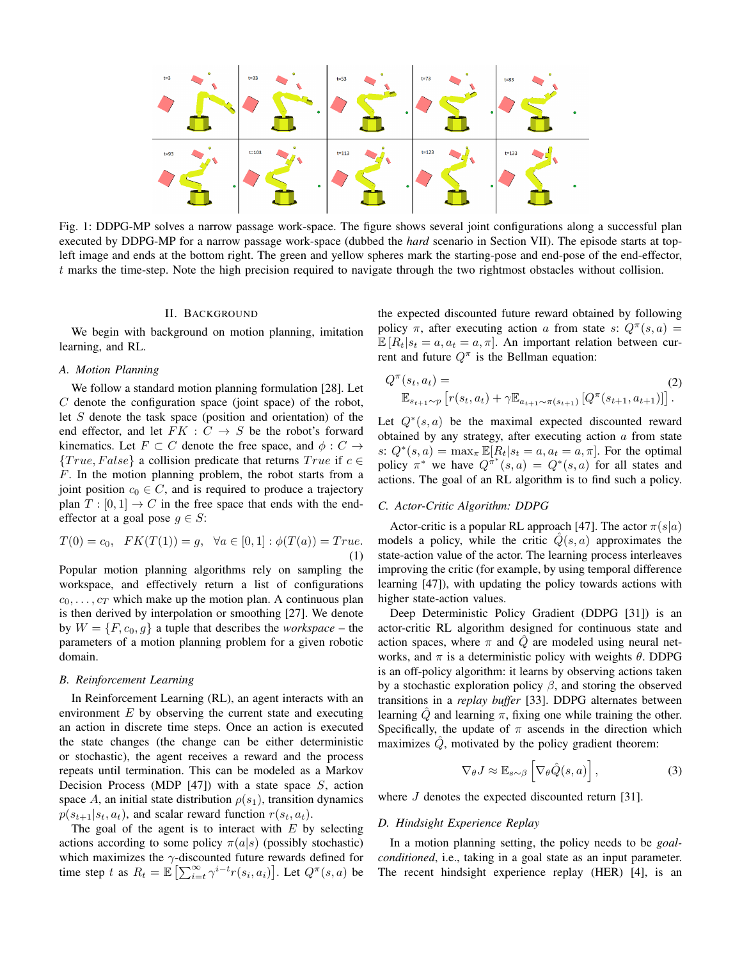

Fig. 1: DDPG-MP solves a narrow passage work-space. The figure shows several joint configurations along a successful plan executed by DDPG-MP for a narrow passage work-space (dubbed the *hard* scenario in Section VII). The episode starts at topleft image and ends at the bottom right. The green and yellow spheres mark the starting-pose and end-pose of the end-effector,  $t$  marks the time-step. Note the high precision required to navigate through the two rightmost obstacles without collision.

# **II. BACKGROUND**

We begin with background on motion planning, imitation learning, and RL.

# A. Motion Planning

We follow a standard motion planning formulation [28]. Let  $C$  denote the configuration space (joint space) of the robot, let  $S$  denote the task space (position and orientation) of the end effector, and let  $FK : C \rightarrow S$  be the robot's forward kinematics. Let  $F \subset C$  denote the free space, and  $\phi : C \to$  $\{True, False\}$  a collision predicate that returns  $True$  if  $c \in$  $F$ . In the motion planning problem, the robot starts from a joint position  $c_0 \in C$ , and is required to produce a trajectory plan  $T : [0,1] \rightarrow C$  in the free space that ends with the endeffector at a goal pose  $g \in S$ :

$$
T(0) = c_0, \quad FK(T(1)) = g, \quad \forall a \in [0, 1]: \phi(T(a)) = True.
$$
\n(1)

Popular motion planning algorithms rely on sampling the workspace, and effectively return a list of configurations  $c_0, \ldots, c_T$  which make up the motion plan. A continuous plan is then derived by interpolation or smoothing [27]. We denote by  $W = \{F, c_0, g\}$  a tuple that describes the *workspace* – the parameters of a motion planning problem for a given robotic domain.

# **B.** Reinforcement Learning

In Reinforcement Learning (RL), an agent interacts with an environment  $E$  by observing the current state and executing an action in discrete time steps. Once an action is executed the state changes (the change can be either deterministic or stochastic), the agent receives a reward and the process repeats until termination. This can be modeled as a Markov Decision Process (MDP [47]) with a state space  $S$ , action space A, an initial state distribution  $\rho(s_1)$ , transition dynamics  $p(s_{t+1}|s_t, a_t)$ , and scalar reward function  $r(s_t, a_t)$ .

The goal of the agent is to interact with  $E$  by selecting actions according to some policy  $\pi(a|s)$  (possibly stochastic) which maximizes the  $\gamma$ -discounted future rewards defined for time step t as  $R_t = \mathbb{E}\left[\sum_{i=t}^{\infty} \gamma^{i-t} r(s_i, a_i)\right]$ . Let  $Q^{\pi}(s, a)$  be the expected discounted future reward obtained by following policy  $\pi$ , after executing action a from state s:  $Q^{\pi}(s, a)$  =  $\mathbb{E}[R_t | s_t = a, a_t = a, \pi]$ . An important relation between current and future  $Q^{\pi}$  is the Bellman equation:

$$
Q^{\pi}(s_t, a_t) = \n\mathbb{E}_{s_{t+1} \sim p} \left[ r(s_t, a_t) + \gamma \mathbb{E}_{a_{t+1} \sim \pi(s_{t+1})} \left[ Q^{\pi}(s_{t+1}, a_{t+1}) \right] \right].
$$
\n(2)

Let  $Q^*(s, a)$  be the maximal expected discounted reward obtained by any strategy, after executing action  $a$  from state s:  $Q^*(s, a) = \max_{\pi} \mathbb{E}[R_t | s_t = a, a_t = a, \pi]$ . For the optimal policy  $\pi^*$  we have  $Q^{\pi^*}(s, a) = Q^*(s, a)$  for all states and actions. The goal of an RL algorithm is to find such a policy.

# C. Actor-Critic Algorithm: DDPG

Actor-critic is a popular RL approach [47]. The actor  $\pi(s|a)$ models a policy, while the critic  $\hat{Q}(s, a)$  approximates the state-action value of the actor. The learning process interleaves improving the critic (for example, by using temporal difference learning [47]), with updating the policy towards actions with higher state-action values.

Deep Deterministic Policy Gradient (DDPG [31]) is an actor-critic RL algorithm designed for continuous state and action spaces, where  $\pi$  and  $\hat{Q}$  are modeled using neural networks, and  $\pi$  is a deterministic policy with weights  $\theta$ . DDPG is an off-policy algorithm: it learns by observing actions taken by a stochastic exploration policy  $\beta$ , and storing the observed transitions in a *replay buffer* [33]. DDPG alternates between learning  $Q$  and learning  $\pi$ , fixing one while training the other. Specifically, the update of  $\pi$  ascends in the direction which maximizes  $\ddot{Q}$ , motivated by the policy gradient theorem:

$$
\nabla_{\theta} J \approx \mathbb{E}_{s \sim \beta} \left[ \nabla_{\theta} \hat{Q}(s, a) \right], \tag{3}
$$

where  $J$  denotes the expected discounted return [31].

### D. Hindsight Experience Replay

In a motion planning setting, the policy needs to be *goal*conditioned, i.e., taking in a goal state as an input parameter. The recent hindsight experience replay (HER) [4], is an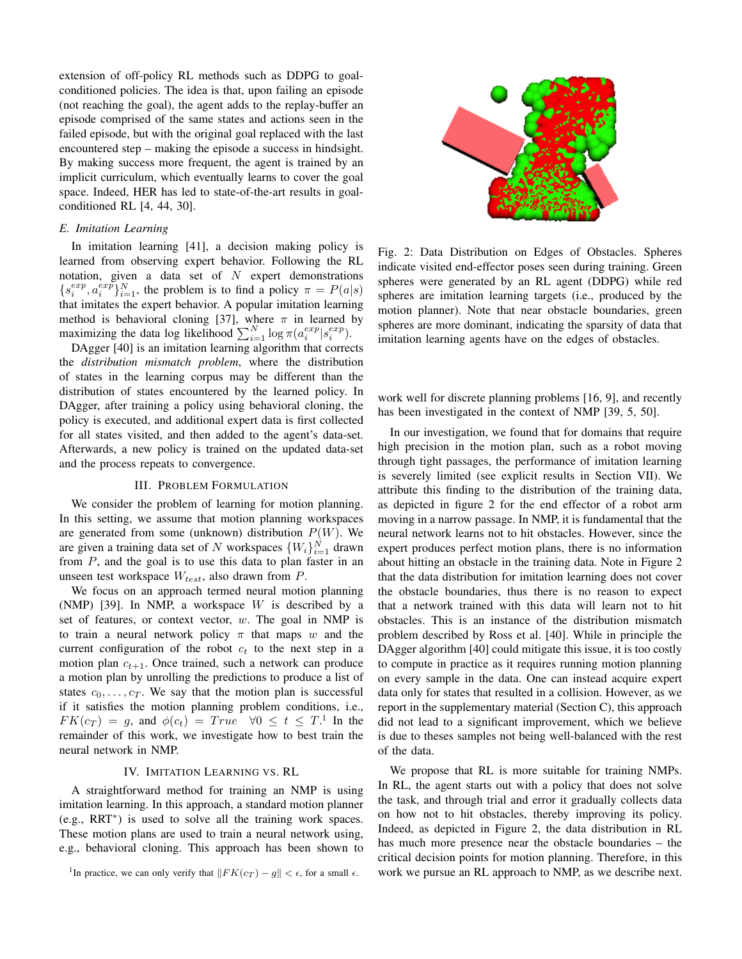extension of off-policy RL methods such as DDPG to goalconditioned policies. The idea is that, upon failing an episode (not reaching the goal), the agent adds to the replay-buffer an episode comprised of the same states and actions seen in the failed episode, but with the original goal replaced with the last encountered step – making the episode a success in hindsight. By making success more frequent, the agent is trained by an implicit curriculum, which eventually learns to cover the goal space. Indeed, HER has led to state-of-the-art results in goalconditioned RL [4, 44, 30].

# E. Imitation Learning

In imitation learning [41], a decision making policy is learned from observing expert behavior. Following the RL notation, given a data set of  $N$  expert demonstrations  $\{s_i^{exp}, a_i^{exp}\}_{i=1}^N$ , the problem is to find a policy  $\pi = P(a|s)$ that imitates the expert behavior. A popular imitation learning method is behavioral cloning [37], where  $\pi$  in learned by maximizing the data log likelihood  $\sum_{i=1}^{N} \log \pi(a_i^{exp}|s_i^{exp})$ .

DAgger [40] is an imitation learning algorithm that corrects the distribution mismatch problem, where the distribution of states in the learning corpus may be different than the distribution of states encountered by the learned policy. In DAgger, after training a policy using behavioral cloning, the policy is executed, and additional expert data is first collected for all states visited, and then added to the agent's data-set. Afterwards, a new policy is trained on the updated data-set and the process repeats to convergence.

# **III. PROBLEM FORMULATION**

We consider the problem of learning for motion planning. In this setting, we assume that motion planning workspaces are generated from some (unknown) distribution  $P(W)$ . We are given a training data set of N workspaces  $\{W_i\}_{i=1}^N$  drawn from  $P$ , and the goal is to use this data to plan faster in an unseen test workspace  $W_{test}$ , also drawn from  $P$ .

We focus on an approach termed neural motion planning (NMP) [39]. In NMP, a workspace  $W$  is described by a set of features, or context vector,  $w$ . The goal in NMP is to train a neural network policy  $\pi$  that maps w and the current configuration of the robot  $c_t$  to the next step in a motion plan  $c_{t+1}$ . Once trained, such a network can produce a motion plan by unrolling the predictions to produce a list of states  $c_0, \ldots, c_T$ . We say that the motion plan is successful if it satisfies the motion planning problem conditions, i.e.,  $FK(c_T) = q$ , and  $\phi(c_t) = True \quad \forall 0 \leq t \leq T$ .<sup>1</sup> In the remainder of this work, we investigate how to best train the neural network in NMP.

# IV. IMITATION LEARNING VS. RL

A straightforward method for training an NMP is using imitation learning. In this approach, a standard motion planner  $(e.g., RRT^*)$  is used to solve all the training work spaces. These motion plans are used to train a neural network using, e.g., behavioral cloning. This approach has been shown to



Fig. 2: Data Distribution on Edges of Obstacles. Spheres indicate visited end-effector poses seen during training. Green spheres were generated by an RL agent (DDPG) while red spheres are imitation learning targets (i.e., produced by the motion planner). Note that near obstacle boundaries, green spheres are more dominant, indicating the sparsity of data that imitation learning agents have on the edges of obstacles.

work well for discrete planning problems [16, 9], and recently has been investigated in the context of NMP [39, 5, 50].

In our investigation, we found that for domains that require high precision in the motion plan, such as a robot moving through tight passages, the performance of imitation learning is severely limited (see explicit results in Section VII). We attribute this finding to the distribution of the training data, as depicted in figure 2 for the end effector of a robot arm moving in a narrow passage. In NMP, it is fundamental that the neural network learns not to hit obstacles. However, since the expert produces perfect motion plans, there is no information about hitting an obstacle in the training data. Note in Figure 2 that the data distribution for imitation learning does not cover the obstacle boundaries, thus there is no reason to expect that a network trained with this data will learn not to hit obstacles. This is an instance of the distribution mismatch problem described by Ross et al. [40]. While in principle the DAgger algorithm [40] could mitigate this issue, it is too costly to compute in practice as it requires running motion planning on every sample in the data. One can instead acquire expert data only for states that resulted in a collision. However, as we report in the supplementary material (Section C), this approach did not lead to a significant improvement, which we believe is due to theses samples not being well-balanced with the rest of the data.

We propose that RL is more suitable for training NMPs. In RL, the agent starts out with a policy that does not solve the task, and through trial and error it gradually collects data on how not to hit obstacles, thereby improving its policy. Indeed, as depicted in Figure 2, the data distribution in RL has much more presence near the obstacle boundaries – the critical decision points for motion planning. Therefore, in this work we pursue an RL approach to NMP, as we describe next.

<sup>&</sup>lt;sup>1</sup>In practice, we can only verify that  $||FK(c_T) - g|| < \epsilon$ , for a small  $\epsilon$ .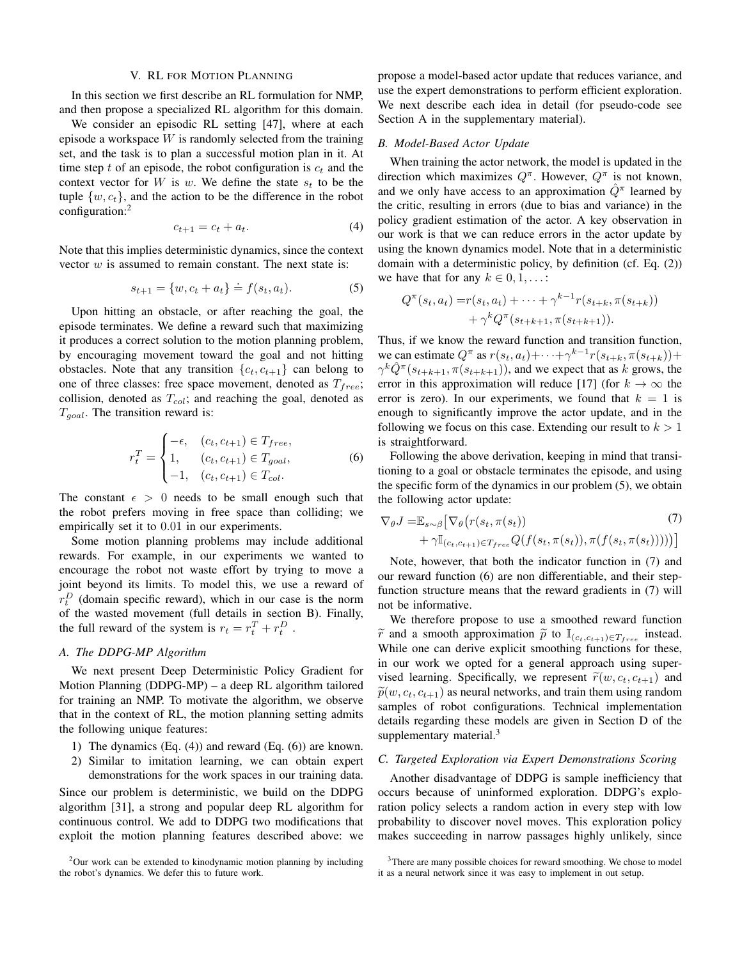#### V. RL FOR MOTION PLANNING

In this section we first describe an RL formulation for NMP. and then propose a specialized RL algorithm for this domain.

We consider an episodic RL setting [47], where at each episode a workspace  $W$  is randomly selected from the training set, and the task is to plan a successful motion plan in it. At time step t of an episode, the robot configuration is  $c_t$  and the context vector for W is w. We define the state  $s_t$  to be the tuple  $\{w, c_t\}$ , and the action to be the difference in the robot configuration: $<sup>2</sup>$ </sup>

$$
c_{t+1} = c_t + a_t. \tag{4}
$$

Note that this implies deterministic dynamics, since the context vector  $w$  is assumed to remain constant. The next state is:

$$
s_{t+1} = \{w, c_t + a_t\} \doteq f(s_t, a_t). \tag{5}
$$

Upon hitting an obstacle, or after reaching the goal, the episode terminates. We define a reward such that maximizing it produces a correct solution to the motion planning problem, by encouraging movement toward the goal and not hitting obstacles. Note that any transition  $\{c_t, c_{t+1}\}\$  can belong to one of three classes: free space movement, denoted as  $T_{free}$ ; collision, denoted as  $T_{col}$ ; and reaching the goal, denoted as  $T_{goal}$ . The transition reward is:

$$
r_t^T = \begin{cases} -\epsilon, & (c_t, c_{t+1}) \in T_{free}, \\ 1, & (c_t, c_{t+1}) \in T_{goal}, \\ -1, & (c_t, c_{t+1}) \in T_{col}. \end{cases}
$$
(6)

The constant  $\epsilon > 0$  needs to be small enough such that the robot prefers moving in free space than colliding; we empirically set it to 0.01 in our experiments.

Some motion planning problems may include additional rewards. For example, in our experiments we wanted to encourage the robot not waste effort by trying to move a joint beyond its limits. To model this, we use a reward of  $r_t^D$  (domain specific reward), which in our case is the norm of the wasted movement (full details in section B). Finally, the full reward of the system is  $r_t = r_t^T + r_t^D$ .

# A. The DDPG-MP Algorithm

We next present Deep Deterministic Policy Gradient for Motion Planning (DDPG-MP) – a deep RL algorithm tailored for training an NMP. To motivate the algorithm, we observe that in the context of RL, the motion planning setting admits the following unique features:

- 1) The dynamics  $(Eq. (4))$  and reward  $(Eq. (6))$  are known.
- 2) Similar to imitation learning, we can obtain expert demonstrations for the work spaces in our training data.

Since our problem is deterministic, we build on the DDPG algorithm [31], a strong and popular deep RL algorithm for continuous control. We add to DDPG two modifications that exploit the motion planning features described above: we

 $2$ Our work can be extended to kinodynamic motion planning by including the robot's dynamics. We defer this to future work.

propose a model-based actor update that reduces variance, and use the expert demonstrations to perform efficient exploration. We next describe each idea in detail (for pseudo-code see Section A in the supplementary material).

## B. Model-Based Actor Update

When training the actor network, the model is updated in the direction which maximizes  $Q^{\pi}$ . However,  $Q^{\pi}$  is not known, and we only have access to an approximation  $\tilde{Q}^{\pi}$  learned by the critic, resulting in errors (due to bias and variance) in the policy gradient estimation of the actor. A key observation in our work is that we can reduce errors in the actor update by using the known dynamics model. Note that in a deterministic domain with a deterministic policy, by definition (cf. Eq. (2)) we have that for any  $k \in [0, 1, \dots]$ 

$$
Q^{\pi}(s_t, a_t) = r(s_t, a_t) + \dots + \gamma^{k-1} r(s_{t+k}, \pi(s_{t+k})) + \gamma^k Q^{\pi}(s_{t+k+1}, \pi(s_{t+k+1})).
$$

Thus, if we know the reward function and transition function, we can estimate  $Q^{\pi}$  as  $r(s_t, a_t) + \cdots + \gamma^{k-1} r(s_{t+k}, \pi(s_{t+k})) +$  $\gamma^{k} \hat{Q}^{\pi}(s_{t+k+1}, \pi(s_{t+k+1}))$ , and we expect that as k grows, the error in this approximation will reduce [17] (for  $k \to \infty$  the error is zero). In our experiments, we found that  $k = 1$  is enough to significantly improve the actor update, and in the following we focus on this case. Extending our result to  $k > 1$ is straightforward.

Following the above derivation, keeping in mind that transitioning to a goal or obstacle terminates the episode, and using the specific form of the dynamics in our problem (5), we obtain the following actor update:

$$
\nabla_{\theta} J = \mathbb{E}_{s \sim \beta} \left[ \nabla_{\theta} \left( r(s_t, \pi(s_t)) + \gamma \mathbb{I}_{(c_t, c_{t+1}) \in T_{free}} Q(f(s_t, \pi(s_t)), \pi(f(s_t, \pi(s_t)))) \right) \right]
$$
\n
$$
(7)
$$

Note, however, that both the indicator function in (7) and our reward function (6) are non differentiable, and their stepfunction structure means that the reward gradients in (7) will not be informative.

We therefore propose to use a smoothed reward function  $\widetilde{r}$  and a smooth approximation  $\widetilde{p}$  to  $\mathbb{I}_{(c_t,c_{t+1})\in T_{free}}$  instead. While one can derive explicit smoothing functions for these, in our work we opted for a general approach using supervised learning. Specifically, we represent  $\widetilde{r}(w, c_t, c_{t+1})$  and  $\widetilde{p}(w, c_t, c_{t+1})$  as neural networks, and train them using random samples of robot configurations. Technical implementation details regarding these models are given in Section D of the supplementary material. $3$ 

# C. Targeted Exploration via Expert Demonstrations Scoring

Another disadvantage of DDPG is sample inefficiency that occurs because of uninformed exploration. DDPG's exploration policy selects a random action in every step with low probability to discover novel moves. This exploration policy makes succeeding in narrow passages highly unlikely, since

<sup>&</sup>lt;sup>3</sup>There are many possible choices for reward smoothing. We chose to model it as a neural network since it was easy to implement in out setup.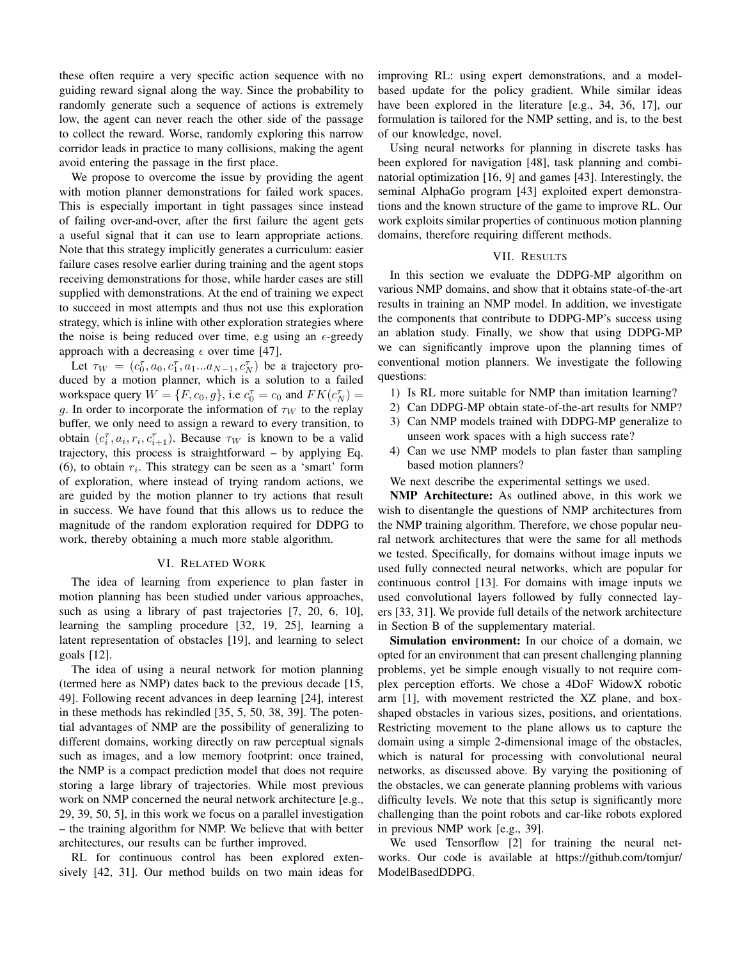these often require a very specific action sequence with no guiding reward signal along the way. Since the probability to randomly generate such a sequence of actions is extremely low, the agent can never reach the other side of the passage to collect the reward. Worse, randomly exploring this narrow corridor leads in practice to many collisions, making the agent avoid entering the passage in the first place.

We propose to overcome the issue by providing the agent with motion planner demonstrations for failed work spaces. This is especially important in tight passages since instead of failing over-and-over, after the first failure the agent gets a useful signal that it can use to learn appropriate actions. Note that this strategy implicitly generates a curriculum: easier failure cases resolve earlier during training and the agent stops receiving demonstrations for those, while harder cases are still supplied with demonstrations. At the end of training we expect to succeed in most attempts and thus not use this exploration strategy, which is inline with other exploration strategies where the noise is being reduced over time, e.g using an  $\epsilon$ -greedy approach with a decreasing  $\epsilon$  over time [47].

Let  $\tau_W = (c_0^{\tau}, a_0, c_1^{\tau}, a_1...a_{N-1}, c_N^{\tau})$  be a trajectory produced by a motion planner, which is a solution to a failed workspace query  $W = \{F, c_0, g\}$ , i.e  $c_0^{\tau} = c_0$  and  $FK(c_N^{\tau}) =$ g. In order to incorporate the information of  $\tau_W$  to the replay buffer, we only need to assign a reward to every transition, to obtain  $(c_i^{\tau}, a_i, r_i, c_{i+1}^{\tau})$ . Because  $\tau_W$  is known to be a valid trajectory, this process is straightforward – by applying Eq. (6), to obtain  $r_i$ . This strategy can be seen as a 'smart' form of exploration, where instead of trying random actions, we are guided by the motion planner to try actions that result in success. We have found that this allows us to reduce the magnitude of the random exploration required for DDPG to work, thereby obtaining a much more stable algorithm.

# VI. RELATED WORK

The idea of learning from experience to plan faster in motion planning has been studied under various approaches, such as using a library of past trajectories [7, 20, 6, 10], learning the sampling procedure [32, 19, 25], learning a latent representation of obstacles [19], and learning to select goals  $[12]$ .

The idea of using a neural network for motion planning (termed here as NMP) dates back to the previous decade [15, 49]. Following recent advances in deep learning [24], interest in these methods has rekindled [35, 5, 50, 38, 39]. The potential advantages of NMP are the possibility of generalizing to different domains, working directly on raw perceptual signals such as images, and a low memory footprint: once trained, the NMP is a compact prediction model that does not require storing a large library of trajectories. While most previous work on NMP concerned the neural network architecture [e.g., 29, 39, 50, 5], in this work we focus on a parallel investigation - the training algorithm for NMP. We believe that with better architectures, our results can be further improved.

RL for continuous control has been explored extensively [42, 31]. Our method builds on two main ideas for improving RL: using expert demonstrations, and a modelbased update for the policy gradient. While similar ideas have been explored in the literature [e.g., 34, 36, 17], our formulation is tailored for the NMP setting, and is, to the best of our knowledge, novel.

Using neural networks for planning in discrete tasks has been explored for navigation [48], task planning and combinatorial optimization [16, 9] and games [43]. Interestingly, the seminal AlphaGo program [43] exploited expert demonstrations and the known structure of the game to improve RL. Our work exploits similar properties of continuous motion planning domains, therefore requiring different methods.

#### VII. RESULTS

In this section we evaluate the DDPG-MP algorithm on various NMP domains, and show that it obtains state-of-the-art results in training an NMP model. In addition, we investigate the components that contribute to DDPG-MP's success using an ablation study. Finally, we show that using DDPG-MP we can significantly improve upon the planning times of conventional motion planners. We investigate the following questions:

- 1) Is RL more suitable for NMP than imitation learning?
- 2) Can DDPG-MP obtain state-of-the-art results for NMP?
- 3) Can NMP models trained with DDPG-MP generalize to unseen work spaces with a high success rate?
- 4) Can we use NMP models to plan faster than sampling based motion planners?
- We next describe the experimental settings we used.

**NMP** Architecture: As outlined above, in this work we wish to disentangle the questions of NMP architectures from the NMP training algorithm. Therefore, we chose popular neural network architectures that were the same for all methods we tested. Specifically, for domains without image inputs we used fully connected neural networks, which are popular for continuous control [13]. For domains with image inputs we used convolutional layers followed by fully connected layers [33, 31]. We provide full details of the network architecture in Section B of the supplementary material.

Simulation environment: In our choice of a domain, we opted for an environment that can present challenging planning problems, yet be simple enough visually to not require complex perception efforts. We chose a 4DoF WidowX robotic arm [1], with movement restricted the XZ plane, and boxshaped obstacles in various sizes, positions, and orientations. Restricting movement to the plane allows us to capture the domain using a simple 2-dimensional image of the obstacles, which is natural for processing with convolutional neural networks, as discussed above. By varying the positioning of the obstacles, we can generate planning problems with various difficulty levels. We note that this setup is significantly more challenging than the point robots and car-like robots explored in previous NMP work [e.g., 39].

We used Tensorflow [2] for training the neural networks. Our code is available at https://github.com/tomjur/ ModelBasedDDPG.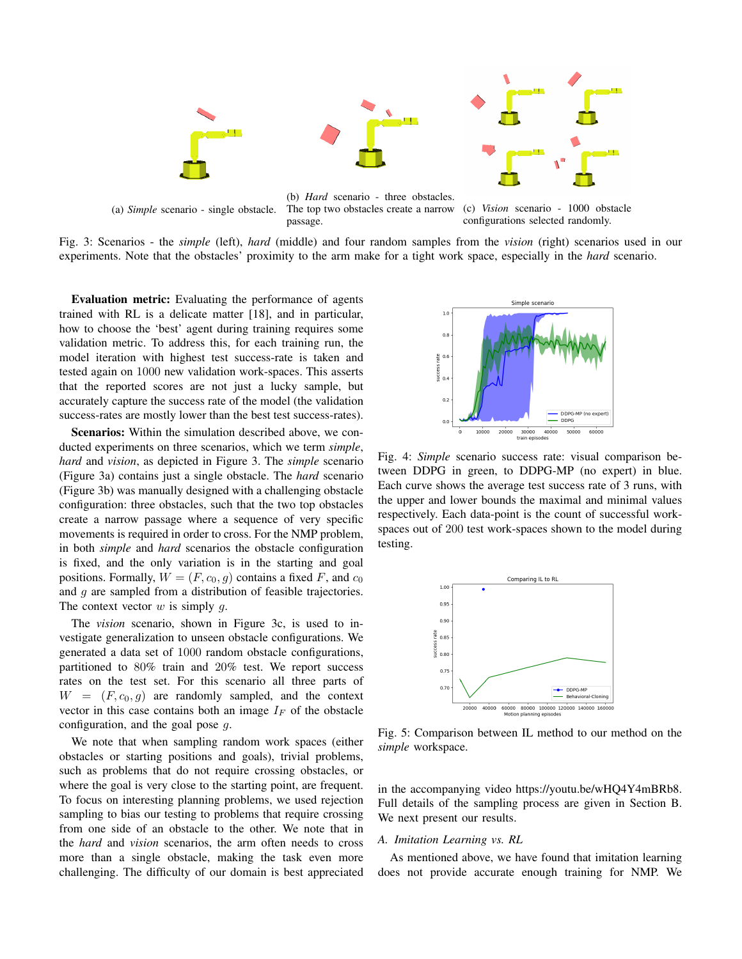

Fig. 3: Scenarios - the *simple* (left), *hard* (middle) and four random samples from the *vision* (right) scenarios used in our experiments. Note that the obstacles' proximity to the arm make for a tight work space, especially in the *hard* scenario.

passage.

**Evaluation metric:** Evaluating the performance of agents trained with RL is a delicate matter [18], and in particular, how to choose the 'best' agent during training requires some validation metric. To address this, for each training run, the model iteration with highest test success-rate is taken and tested again on 1000 new validation work-spaces. This asserts that the reported scores are not just a lucky sample, but accurately capture the success rate of the model (the validation success-rates are mostly lower than the best test success-rates).

Scenarios: Within the simulation described above, we conducted experiments on three scenarios, which we term simple, hard and vision, as depicted in Figure 3. The simple scenario (Figure 3a) contains just a single obstacle. The *hard* scenario (Figure 3b) was manually designed with a challenging obstacle configuration: three obstacles, such that the two top obstacles create a narrow passage where a sequence of very specific movements is required in order to cross. For the NMP problem, in both *simple* and *hard* scenarios the obstacle configuration is fixed, and the only variation is in the starting and goal positions. Formally,  $W = (F, c_0, g)$  contains a fixed F, and  $c_0$ and  $g$  are sampled from a distribution of feasible trajectories. The context vector  $w$  is simply  $q$ .

The *vision* scenario, shown in Figure 3c, is used to investigate generalization to unseen obstacle configurations. We generated a data set of 1000 random obstacle configurations, partitioned to 80% train and 20% test. We report success rates on the test set. For this scenario all three parts of  $W = (F, c_0, q)$  are randomly sampled, and the context vector in this case contains both an image  $I_F$  of the obstacle configuration, and the goal pose  $q$ .

We note that when sampling random work spaces (either obstacles or starting positions and goals), trivial problems, such as problems that do not require crossing obstacles, or where the goal is very close to the starting point, are frequent. To focus on interesting planning problems, we used rejection sampling to bias our testing to problems that require crossing from one side of an obstacle to the other. We note that in the *hard* and *vision* scenarios, the arm often needs to cross more than a single obstacle, making the task even more challenging. The difficulty of our domain is best appreciated



Fig. 4: Simple scenario success rate: visual comparison between DDPG in green, to DDPG-MP (no expert) in blue. Each curve shows the average test success rate of 3 runs, with the upper and lower bounds the maximal and minimal values respectively. Each data-point is the count of successful workspaces out of 200 test work-spaces shown to the model during testing.



Fig. 5: Comparison between IL method to our method on the simple workspace.

in the accompanying video https://youtu.be/wHQ4Y4mBRb8. Full details of the sampling process are given in Section B. We next present our results.

## A. Imitation Learning vs. RL

As mentioned above, we have found that imitation learning does not provide accurate enough training for NMP. We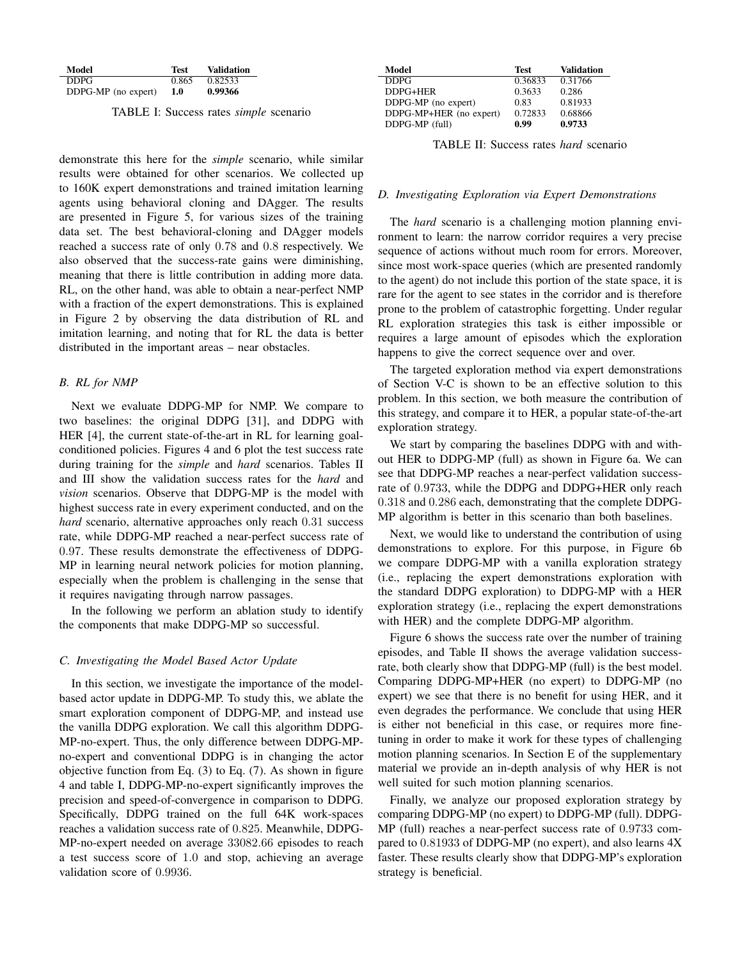| Model               | <b>Test</b> | Validation |
|---------------------|-------------|------------|
| <b>DDPG</b>         | 0.865       | 0.82533    |
| DDPG-MP (no expert) | 1.0         | 0.99366    |

TABLE I: Success rates simple scenario

demonstrate this here for the *simple* scenario, while similar results were obtained for other scenarios. We collected up to 160K expert demonstrations and trained imitation learning agents using behavioral cloning and DAgger. The results are presented in Figure 5, for various sizes of the training data set. The best behavioral-cloning and DAgger models reached a success rate of only 0.78 and 0.8 respectively. We also observed that the success-rate gains were diminishing, meaning that there is little contribution in adding more data. RL, on the other hand, was able to obtain a near-perfect NMP with a fraction of the expert demonstrations. This is explained in Figure 2 by observing the data distribution of RL and imitation learning, and noting that for RL the data is better distributed in the important areas – near obstacles.

# **B.** RL for NMP

Next we evaluate DDPG-MP for NMP. We compare to two baselines: the original DDPG [31], and DDPG with HER [4], the current state-of-the-art in RL for learning goalconditioned policies. Figures 4 and 6 plot the test success rate during training for the simple and hard scenarios. Tables II and III show the validation success rates for the *hard* and vision scenarios. Observe that DDPG-MP is the model with highest success rate in every experiment conducted, and on the hard scenario, alternative approaches only reach 0.31 success rate, while DDPG-MP reached a near-perfect success rate of 0.97. These results demonstrate the effectiveness of DDPG-MP in learning neural network policies for motion planning, especially when the problem is challenging in the sense that it requires navigating through narrow passages.

In the following we perform an ablation study to identify the components that make DDPG-MP so successful.

## C. Investigating the Model Based Actor Update

In this section, we investigate the importance of the modelbased actor update in DDPG-MP. To study this, we ablate the smart exploration component of DDPG-MP, and instead use the vanilla DDPG exploration. We call this algorithm DDPG-MP-no-expert. Thus, the only difference between DDPG-MPno-expert and conventional DDPG is in changing the actor objective function from Eq.  $(3)$  to Eq.  $(7)$ . As shown in figure 4 and table I, DDPG-MP-no-expert significantly improves the precision and speed-of-convergence in comparison to DDPG. Specifically, DDPG trained on the full 64K work-spaces reaches a validation success rate of 0.825. Meanwhile, DDPG-MP-no-expert needed on average 33082.66 episodes to reach a test success score of 1.0 and stop, achieving an average validation score of 0.9936.

| Model                   | <b>Test</b> | <b>Validation</b> |
|-------------------------|-------------|-------------------|
| <b>DDPG</b>             | 0.36833     | 0.31766           |
| DDPG+HER                | 0.3633      | 0.286             |
| DDPG-MP (no expert)     | 0.83        | 0.81933           |
| DDPG-MP+HER (no expert) | 0.72833     | 0.68866           |
| DDPG-MP (full)          | 0.99        | 0.9733            |

TABLE II: Success rates *hard* scenario

# D. Investigating Exploration via Expert Demonstrations

The *hard* scenario is a challenging motion planning environment to learn: the narrow corridor requires a very precise sequence of actions without much room for errors. Moreover, since most work-space queries (which are presented randomly to the agent) do not include this portion of the state space, it is rare for the agent to see states in the corridor and is therefore prone to the problem of catastrophic forgetting. Under regular RL exploration strategies this task is either impossible or requires a large amount of episodes which the exploration happens to give the correct sequence over and over.

The targeted exploration method via expert demonstrations of Section V-C is shown to be an effective solution to this problem. In this section, we both measure the contribution of this strategy, and compare it to HER, a popular state-of-the-art exploration strategy.

We start by comparing the baselines DDPG with and without HER to DDPG-MP (full) as shown in Figure 6a. We can see that DDPG-MP reaches a near-perfect validation successrate of 0.9733, while the DDPG and DDPG+HER only reach 0.318 and 0.286 each, demonstrating that the complete DDPG-MP algorithm is better in this scenario than both baselines.

Next, we would like to understand the contribution of using demonstrations to explore. For this purpose, in Figure 6b we compare DDPG-MP with a vanilla exploration strategy (i.e., replacing the expert demonstrations exploration with the standard DDPG exploration) to DDPG-MP with a HER exploration strategy (i.e., replacing the expert demonstrations with HER) and the complete DDPG-MP algorithm.

Figure 6 shows the success rate over the number of training episodes, and Table II shows the average validation successrate, both clearly show that DDPG-MP (full) is the best model. Comparing DDPG-MP+HER (no expert) to DDPG-MP (no expert) we see that there is no benefit for using HER, and it even degrades the performance. We conclude that using HER is either not beneficial in this case, or requires more finetuning in order to make it work for these types of challenging motion planning scenarios. In Section E of the supplementary material we provide an in-depth analysis of why HER is not well suited for such motion planning scenarios.

Finally, we analyze our proposed exploration strategy by comparing DDPG-MP (no expert) to DDPG-MP (full). DDPG-MP (full) reaches a near-perfect success rate of 0.9733 compared to 0.81933 of DDPG-MP (no expert), and also learns 4X faster. These results clearly show that DDPG-MP's exploration strategy is beneficial.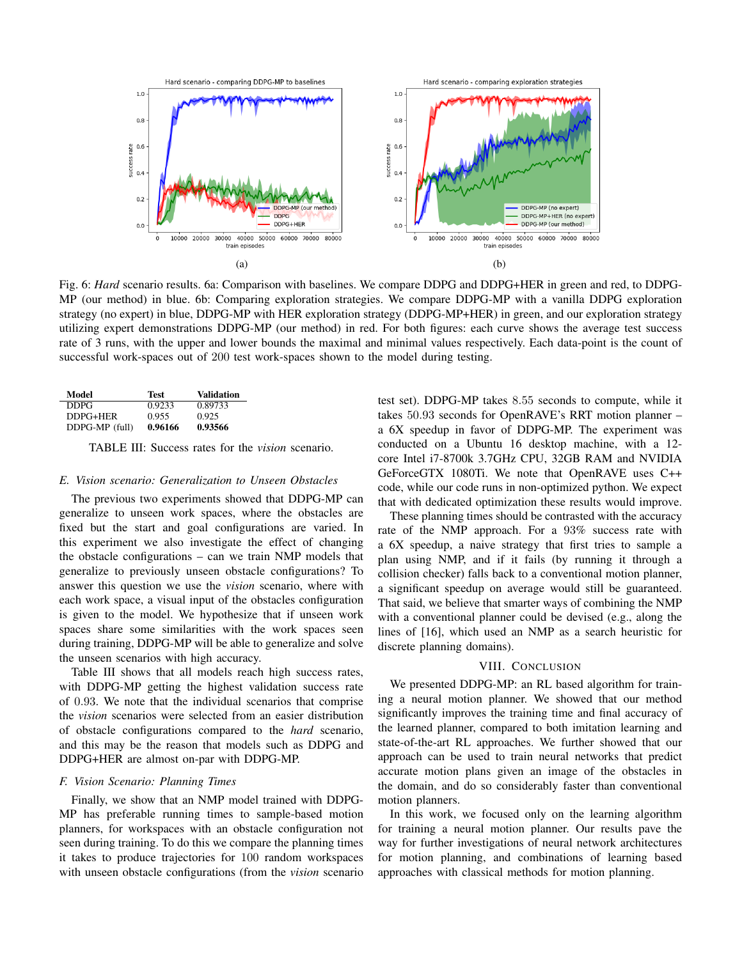

Fig. 6: Hard scenario results. 6a: Comparison with baselines. We compare DDPG and DDPG+HER in green and red, to DDPG-MP (our method) in blue. 6b: Comparing exploration strategies. We compare DDPG-MP with a vanilla DDPG exploration strategy (no expert) in blue, DDPG-MP with HER exploration strategy (DDPG-MP+HER) in green, and our exploration strategy utilizing expert demonstrations DDPG-MP (our method) in red. For both figures: each curve shows the average test success rate of 3 runs, with the upper and lower bounds the maximal and minimal values respectively. Each data-point is the count of successful work-spaces out of 200 test work-spaces shown to the model during testing.

| Model          | Test    | Validation |
|----------------|---------|------------|
| DDPG           | 0.9233  | 0.89733    |
| DDPG+HER       | 0.955   | 0.925      |
| DDPG-MP (full) | 0.96166 | 0.93566    |

TABLE III: Success rates for the vision scenario.

# E. Vision scenario: Generalization to Unseen Obstacles

The previous two experiments showed that DDPG-MP can generalize to unseen work spaces, where the obstacles are fixed but the start and goal configurations are varied. In this experiment we also investigate the effect of changing the obstacle configurations – can we train NMP models that generalize to previously unseen obstacle configurations? To answer this question we use the vision scenario, where with each work space, a visual input of the obstacles configuration is given to the model. We hypothesize that if unseen work spaces share some similarities with the work spaces seen during training, DDPG-MP will be able to generalize and solve the unseen scenarios with high accuracy.

Table III shows that all models reach high success rates, with DDPG-MP getting the highest validation success rate of 0.93. We note that the individual scenarios that comprise the *vision* scenarios were selected from an easier distribution of obstacle configurations compared to the *hard* scenario, and this may be the reason that models such as DDPG and DDPG+HER are almost on-par with DDPG-MP.

# F. Vision Scenario: Planning Times

Finally, we show that an NMP model trained with DDPG-MP has preferable running times to sample-based motion planners, for workspaces with an obstacle configuration not seen during training. To do this we compare the planning times it takes to produce trajectories for 100 random workspaces with unseen obstacle configurations (from the vision scenario test set). DDPG-MP takes 8.55 seconds to compute, while it takes 50.93 seconds for OpenRAVE's RRT motion planner – a 6X speedup in favor of DDPG-MP. The experiment was conducted on a Ubuntu 16 desktop machine, with a 12core Intel i7-8700k 3.7GHz CPU, 32GB RAM and NVIDIA GeForceGTX 1080Ti. We note that OpenRAVE uses C++ code, while our code runs in non-optimized python. We expect that with dedicated optimization these results would improve.

These planning times should be contrasted with the accuracy rate of the NMP approach. For a 93% success rate with a 6X speedup, a naive strategy that first tries to sample a plan using NMP, and if it fails (by running it through a collision checker) falls back to a conventional motion planner, a significant speedup on average would still be guaranteed. That said, we believe that smarter ways of combining the NMP with a conventional planner could be devised (e.g., along the lines of [16], which used an NMP as a search heuristic for discrete planning domains).

# VIII. CONCLUSION

We presented DDPG-MP: an RL based algorithm for training a neural motion planner. We showed that our method significantly improves the training time and final accuracy of the learned planner, compared to both imitation learning and state-of-the-art RL approaches. We further showed that our approach can be used to train neural networks that predict accurate motion plans given an image of the obstacles in the domain, and do so considerably faster than conventional motion planners.

In this work, we focused only on the learning algorithm for training a neural motion planner. Our results pave the way for further investigations of neural network architectures for motion planning, and combinations of learning based approaches with classical methods for motion planning.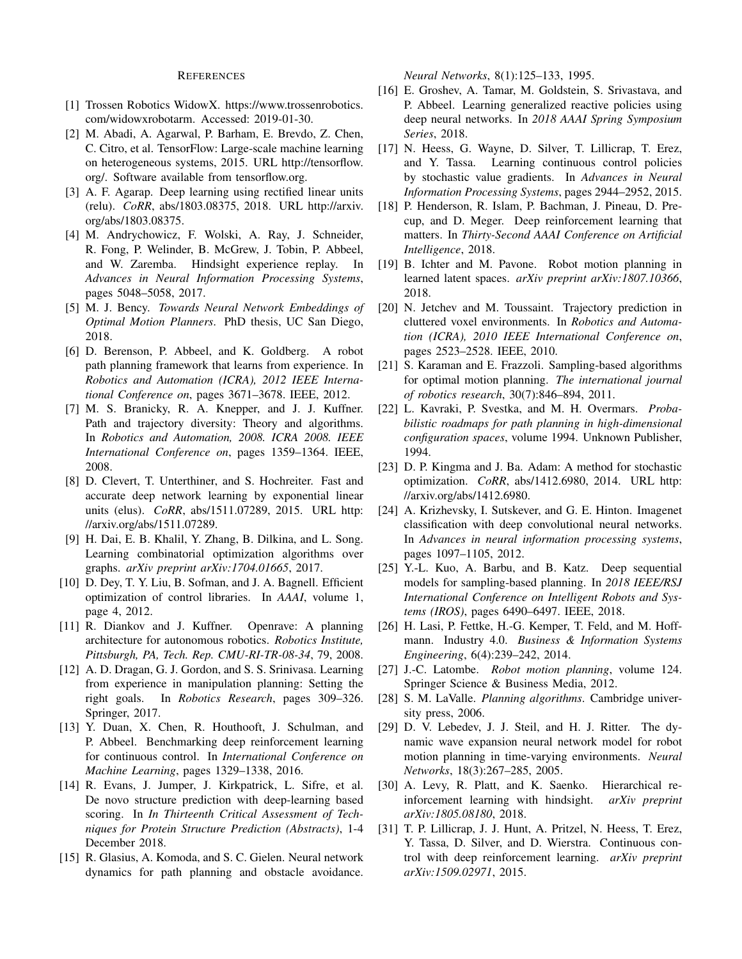#### **REFERENCES**

- [1] Trossen Robotics WidowX. https://www.trossenrobotics. com/widowxrobotarm. Accessed: 2019-01-30.
- [2] M. Abadi, A. Agarwal, P. Barham, E. Brevdo, Z. Chen, C. Citro, et al. TensorFlow: Large-scale machine learning on heterogeneous systems, 2015. URL http://tensorflow. org/. Software available from tensorflow.org.
- [3] A. F. Agarap. Deep learning using rectified linear units (relu). CoRR, abs/1803.08375, 2018. URL http://arxiv. org/abs/1803.08375.
- [4] M. Andrychowicz, F. Wolski, A. Ray, J. Schneider, R. Fong, P. Welinder, B. McGrew, J. Tobin, P. Abbeel, and W. Zaremba. Hindsight experience replay. In Advances in Neural Information Processing Systems, pages 5048-5058, 2017.
- [5] M. J. Bency. Towards Neural Network Embeddings of Optimal Motion Planners. PhD thesis, UC San Diego, 2018.
- [6] D. Berenson, P. Abbeel, and K. Goldberg. A robot path planning framework that learns from experience. In Robotics and Automation (ICRA), 2012 IEEE International Conference on, pages 3671-3678. IEEE, 2012.
- [7] M. S. Branicky, R. A. Knepper, and J. J. Kuffner. Path and trajectory diversity: Theory and algorithms. In Robotics and Automation, 2008. ICRA 2008. IEEE International Conference on, pages 1359-1364. IEEE, 2008.
- [8] D. Clevert, T. Unterthiner, and S. Hochreiter. Fast and accurate deep network learning by exponential linear units (elus). CoRR, abs/1511.07289, 2015. URL http: //arxiv.org/abs/1511.07289.
- [9] H. Dai, E. B. Khalil, Y. Zhang, B. Dilkina, and L. Song. Learning combinatorial optimization algorithms over graphs. *arXiv preprint arXiv:1704.01665*, 2017.
- [10] D. Dey, T. Y. Liu, B. Sofman, and J. A. Bagnell. Efficient optimization of control libraries. In AAAI, volume 1, page 4, 2012.
- [11] R. Diankov and J. Kuffner. Openrave: A planning architecture for autonomous robotics. Robotics Institute, Pittsburgh, PA, Tech. Rep. CMU-RI-TR-08-34, 79, 2008.
- [12] A. D. Dragan, G. J. Gordon, and S. S. Srinivasa. Learning from experience in manipulation planning: Setting the right goals. In Robotics Research, pages 309-326. Springer, 2017.
- [13] Y. Duan, X. Chen, R. Houthooft, J. Schulman, and P. Abbeel. Benchmarking deep reinforcement learning for continuous control. In *International Conference on* Machine Learning, pages 1329-1338, 2016.
- [14] R. Evans, J. Jumper, J. Kirkpatrick, L. Sifre, et al. De novo structure prediction with deep-learning based scoring. In In Thirteenth Critical Assessment of Techniques for Protein Structure Prediction (Abstracts), 1-4 December 2018.
- [15] R. Glasius, A. Komoda, and S. C. Gielen. Neural network dynamics for path planning and obstacle avoidance.

Neural Networks, 8(1):125-133, 1995.

- [16] E. Groshev, A. Tamar, M. Goldstein, S. Srivastava, and P. Abbeel. Learning generalized reactive policies using deep neural networks. In 2018 AAAI Spring Symposium Series, 2018.
- [17] N. Heess, G. Wayne, D. Silver, T. Lillicrap, T. Erez, and Y. Tassa. Learning continuous control policies by stochastic value gradients. In Advances in Neural Information Processing Systems, pages 2944-2952, 2015.
- [18] P. Henderson, R. Islam, P. Bachman, J. Pineau, D. Precup, and D. Meger. Deep reinforcement learning that matters. In Thirty-Second AAAI Conference on Artificial Intelligence, 2018.
- [19] B. Ichter and M. Pavone. Robot motion planning in learned latent spaces. arXiv preprint arXiv:1807.10366, 2018.
- [20] N. Jetchev and M. Toussaint. Trajectory prediction in cluttered voxel environments. In Robotics and Automation (ICRA), 2010 IEEE International Conference on, pages 2523-2528. IEEE, 2010.
- [21] S. Karaman and E. Frazzoli. Sampling-based algorithms for optimal motion planning. The international journal of robotics research, 30(7):846-894, 2011.
- [22] L. Kavraki, P. Svestka, and M. H. Overmars. Probabilistic roadmaps for path planning in high-dimensional configuration spaces, volume 1994. Unknown Publisher, 1994.
- [23] D. P. Kingma and J. Ba. Adam: A method for stochastic optimization. CoRR, abs/1412.6980, 2014. URL http:  $\frac{\text{m}}{\text{m}}$  //arxiv.org/abs/1412.6980.
- [24] A. Krizhevsky, I. Sutskever, and G. E. Hinton. Imagenet classification with deep convolutional neural networks. In Advances in neural information processing systems, pages 1097-1105, 2012.
- [25] Y.-L. Kuo, A. Barbu, and B. Katz. Deep sequential models for sampling-based planning. In 2018 IEEE/RSJ International Conference on Intelligent Robots and Systems (IROS), pages 6490-6497. IEEE, 2018.
- H. Lasi, P. Fettke, H.-G. Kemper, T. Feld, and M. Hoff- $[26]$ mann. Industry 4.0. Business & Information Systems *Engineering*, 6(4):239–242, 2014.
- [27] J.-C. Latombe. Robot motion planning, volume 124. Springer Science & Business Media, 2012.
- [28] S. M. LaValle. Planning algorithms. Cambridge university press, 2006.
- [29] D. V. Lebedev, J. J. Steil, and H. J. Ritter. The dynamic wave expansion neural network model for robot motion planning in time-varying environments. Neural Networks, 18(3):267-285, 2005.
- [30] A. Levy, R. Platt, and K. Saenko. Hierarchical reinforcement learning with hindsight. arXiv preprint arXiv:1805.08180, 2018.
- [31] T. P. Lillicrap, J. J. Hunt, A. Pritzel, N. Heess, T. Erez, Y. Tassa, D. Silver, and D. Wierstra. Continuous control with deep reinforcement learning. arXiv preprint arXiv:1509.02971, 2015.